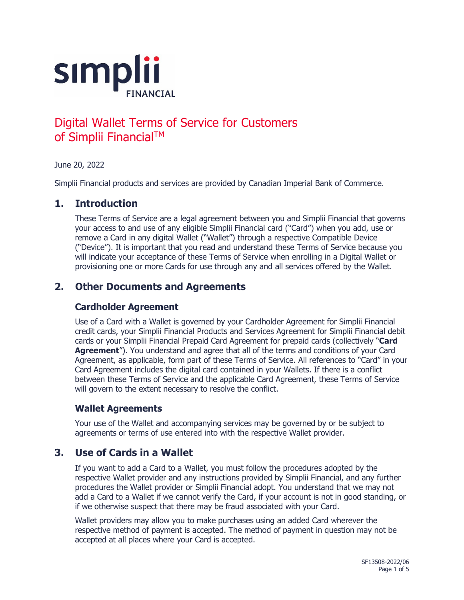

# Digital Wallet Terms of Service for Customers of Simplii Financial™

June 20, 2022

Simplii Financial products and services are provided by Canadian Imperial Bank of Commerce.

#### **1. Introduction**

These Terms of Service are a legal agreement between you and Simplii Financial that governs your access to and use of any eligible Simplii Financial card ("Card") when you add, use or remove a Card in any digital Wallet ("Wallet") through a respective Compatible Device ("Device"). It is important that you read and understand these Terms of Service because you will indicate your acceptance of these Terms of Service when enrolling in a Digital Wallet or provisioning one or more Cards for use through any and all services offered by the Wallet.

# **2. Other Documents and Agreements**

#### **Cardholder Agreement**

Use of a Card with a Wallet is governed by your Cardholder Agreement for Simplii Financial credit cards, your Simplii Financial Products and Services Agreement for Simplii Financial debit cards or your Simplii Financial Prepaid Card Agreement for prepaid cards (collectively "**Card Agreement**"). You understand and agree that all of the terms and conditions of your Card Agreement, as applicable, form part of these Terms of Service. All references to "Card" in your Card Agreement includes the digital card contained in your Wallets. If there is a conflict between these Terms of Service and the applicable Card Agreement, these Terms of Service will govern to the extent necessary to resolve the conflict.

#### **Wallet Agreements**

Your use of the Wallet and accompanying services may be governed by or be subject to agreements or terms of use entered into with the respective Wallet provider.

## **3. Use of Cards in a Wallet**

If you want to add a Card to a Wallet, you must follow the procedures adopted by the respective Wallet provider and any instructions provided by Simplii Financial, and any further procedures the Wallet provider or Simplii Financial adopt. You understand that we may not add a Card to a Wallet if we cannot verify the Card, if your account is not in good standing, or if we otherwise suspect that there may be fraud associated with your Card.

Wallet providers may allow you to make purchases using an added Card wherever the respective method of payment is accepted. The method of payment in question may not be accepted at all places where your Card is accepted.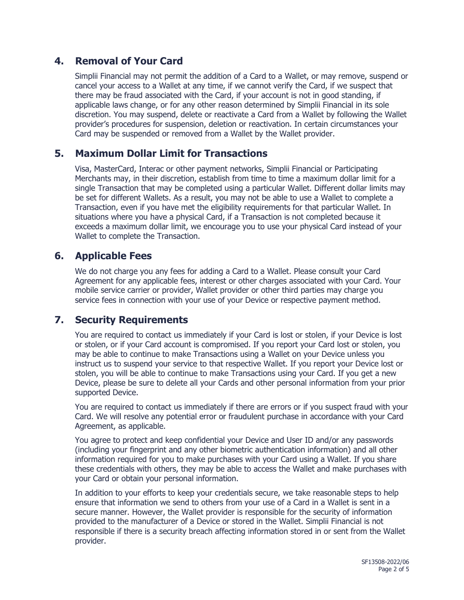# **4. Removal of Your Card**

Simplii Financial may not permit the addition of a Card to a Wallet, or may remove, suspend or cancel your access to a Wallet at any time, if we cannot verify the Card, if we suspect that there may be fraud associated with the Card, if your account is not in good standing, if applicable laws change, or for any other reason determined by Simplii Financial in its sole discretion. You may suspend, delete or reactivate a Card from a Wallet by following the Wallet provider's procedures for suspension, deletion or reactivation. In certain circumstances your Card may be suspended or removed from a Wallet by the Wallet provider.

## **5. Maximum Dollar Limit for Transactions**

Visa, MasterCard, Interac or other payment networks, Simplii Financial or Participating Merchants may, in their discretion, establish from time to time a maximum dollar limit for a single Transaction that may be completed using a particular Wallet. Different dollar limits may be set for different Wallets. As a result, you may not be able to use a Wallet to complete a Transaction, even if you have met the eligibility requirements for that particular Wallet. In situations where you have a physical Card, if a Transaction is not completed because it exceeds a maximum dollar limit, we encourage you to use your physical Card instead of your Wallet to complete the Transaction.

#### **6. Applicable Fees**

We do not charge you any fees for adding a Card to a Wallet. Please consult your Card Agreement for any applicable fees, interest or other charges associated with your Card. Your mobile service carrier or provider, Wallet provider or other third parties may charge you service fees in connection with your use of your Device or respective payment method.

## **7. Security Requirements**

You are required to contact us immediately if your Card is lost or stolen, if your Device is lost or stolen, or if your Card account is compromised. If you report your Card lost or stolen, you may be able to continue to make Transactions using a Wallet on your Device unless you instruct us to suspend your service to that respective Wallet. If you report your Device lost or stolen, you will be able to continue to make Transactions using your Card. If you get a new Device, please be sure to delete all your Cards and other personal information from your prior supported Device.

You are required to contact us immediately if there are errors or if you suspect fraud with your Card. We will resolve any potential error or fraudulent purchase in accordance with your Card Agreement, as applicable.

You agree to protect and keep confidential your Device and User ID and/or any passwords (including your fingerprint and any other biometric authentication information) and all other information required for you to make purchases with your Card using a Wallet. If you share these credentials with others, they may be able to access the Wallet and make purchases with your Card or obtain your personal information.

In addition to your efforts to keep your credentials secure, we take reasonable steps to help ensure that information we send to others from your use of a Card in a Wallet is sent in a secure manner. However, the Wallet provider is responsible for the security of information provided to the manufacturer of a Device or stored in the Wallet. Simplii Financial is not responsible if there is a security breach affecting information stored in or sent from the Wallet provider.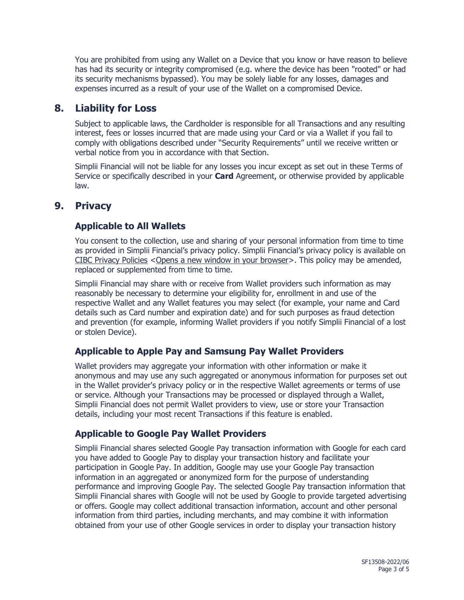You are prohibited from using any Wallet on a Device that you know or have reason to believe has had its security or integrity compromised (e.g. where the device has been "rooted" or had its security mechanisms bypassed). You may be solely liable for any losses, damages and expenses incurred as a result of your use of the Wallet on a compromised Device.

## **8. Liability for Loss**

Subject to applicable laws, the Cardholder is responsible for all Transactions and any resulting interest, fees or losses incurred that are made using your Card or via a Wallet if you fail to comply with obligations described under "Security Requirements" until we receive written or verbal notice from you in accordance with that Section.

Simplii Financial will not be liable for any losses you incur except as set out in these Terms of Service or specifically described in your **Card** Agreement, or otherwise provided by applicable law.

# **9. Privacy**

#### **Applicable to All Wallets**

You consent to the collection, use and sharing of your personal information from time to time as provided in Simplii Financial's privacy policy. Simplii Financial's privacy policy is available on [CIBC Privacy Policies](https://www.cibc.com/en/privacy-security/privacy-policy.html) [<Opens a new window in your browser>](https://www.cibc.com/en/privacy-security/privacy-policy.html). This policy may be amended, replaced or supplemented from time to time.

Simplii Financial may share with or receive from Wallet providers such information as may reasonably be necessary to determine your eligibility for, enrollment in and use of the respective Wallet and any Wallet features you may select (for example, your name and Card details such as Card number and expiration date) and for such purposes as fraud detection and prevention (for example, informing Wallet providers if you notify Simplii Financial of a lost or stolen Device).

## **Applicable to Apple Pay and Samsung Pay Wallet Providers**

Wallet providers may aggregate your information with other information or make it anonymous and may use any such aggregated or anonymous information for purposes set out in the Wallet provider's privacy policy or in the respective Wallet agreements or terms of use or service. Although your Transactions may be processed or displayed through a Wallet, Simplii Financial does not permit Wallet providers to view, use or store your Transaction details, including your most recent Transactions if this feature is enabled.

#### **Applicable to Google Pay Wallet Providers**

Simplii Financial shares selected Google Pay transaction information with Google for each card you have added to Google Pay to display your transaction history and facilitate your participation in Google Pay. In addition, Google may use your Google Pay transaction information in an aggregated or anonymized form for the purpose of understanding performance and improving Google Pay. The selected Google Pay transaction information that Simplii Financial shares with Google will not be used by Google to provide targeted advertising or offers. Google may collect additional transaction information, account and other personal information from third parties, including merchants, and may combine it with information obtained from your use of other Google services in order to display your transaction history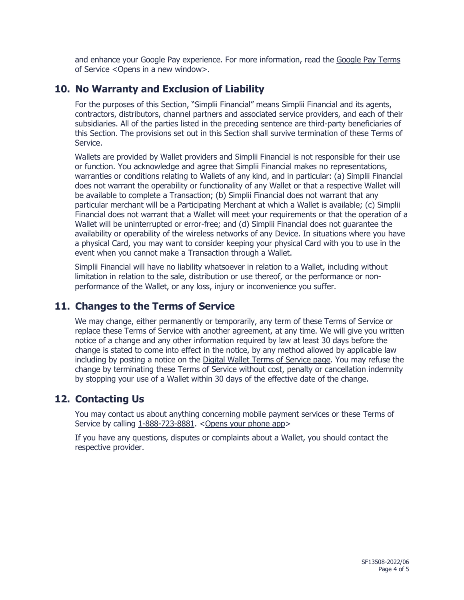and enhance your Google Pay experience. For more information, read the Google Pay Terms [of Service](https://pay.google.com/intl/en_ca/about/terms) [<Opens in a new window>](https://pay.google.com/intl/en_ca/about/terms).

## **10. No Warranty and Exclusion of Liability**

For the purposes of this Section, "Simplii Financial" means Simplii Financial and its agents, contractors, distributors, channel partners and associated service providers, and each of their subsidiaries. All of the parties listed in the preceding sentence are third-party beneficiaries of this Section. The provisions set out in this Section shall survive termination of these Terms of Service.

Wallets are provided by Wallet providers and Simplii Financial is not responsible for their use or function. You acknowledge and agree that Simplii Financial makes no representations, warranties or conditions relating to Wallets of any kind, and in particular: (a) Simplii Financial does not warrant the operability or functionality of any Wallet or that a respective Wallet will be available to complete a Transaction; (b) Simplii Financial does not warrant that any particular merchant will be a Participating Merchant at which a Wallet is available; (c) Simplii Financial does not warrant that a Wallet will meet your requirements or that the operation of a Wallet will be uninterrupted or error-free; and (d) Simplii Financial does not guarantee the availability or operability of the wireless networks of any Device. In situations where you have a physical Card, you may want to consider keeping your physical Card with you to use in the event when you cannot make a Transaction through a Wallet.

Simplii Financial will have no liability whatsoever in relation to a Wallet, including without limitation in relation to the sale, distribution or use thereof, or the performance or nonperformance of the Wallet, or any loss, injury or inconvenience you suffer.

## **11. Changes to the Terms of Service**

We may change, either permanently or temporarily, any term of these Terms of Service or replace these Terms of Service with another agreement, at any time. We will give you written notice of a change and any other information required by law at least 30 days before the change is stated to come into effect in the notice, by any method allowed by applicable law including by posting a notice on the [Digital Wallet Terms of Service page.](https://www.simplii.com/en/legal/digital-wallet-terms-of-service.html) You may refuse the change by terminating these Terms of Service without cost, penalty or cancellation indemnity by stopping your use of a Wallet within 30 days of the effective date of the change.

## **12. Contacting Us**

You may contact us about anything concerning mobile payment services or these Terms of Service by calling [1-888-723-8881.](tel:18887238881) < Opens your phone app>

If you have any questions, disputes or complaints about a Wallet, you should contact the respective provider.